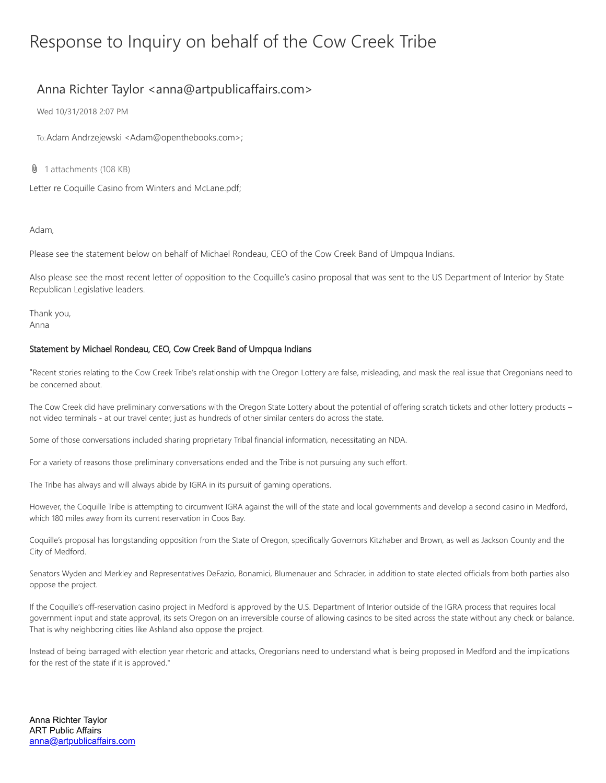## Response to Inquiry on behalf of the Cow Creek Tribe

## Anna Richter Taylor <anna@artpublicaffairs.com>

Wed 10/31/2018 2:07 PM

To:Adam Andrzejewski <Adam@openthebooks.com>;

**U** 1 attachments (108 KB)

Letter re Coquille Casino from Winters and McLane.pdf;

Adam,

Please see the statement below on behalf of Michael Rondeau, CEO of the Cow Creek Band of Umpqua Indians.

Also please see the most recent letter of opposition to the Coquille's casino proposal that was sent to the US Department of Interior by State Republican Legislative leaders.

Thank you, Anna

## Statement by Michael Rondeau, CEO, Cow Creek Band of Umpqua Indians

"Recent stories relating to the Cow Creek Tribe's relationship with the Oregon Lottery are false, misleading, and mask the real issue that Oregonians need to be concerned about.

The Cow Creek did have preliminary conversations with the Oregon State Lottery about the potential of offering scratch tickets and other lottery products not video terminals - at our travel center, just as hundreds of other similar centers do across the state.

Some of those conversations included sharing proprietary Tribal financial information, necessitating an NDA.

For a variety of reasons those preliminary conversations ended and the Tribe is not pursuing any such effort.

The Tribe has always and will always abide by IGRA in its pursuit of gaming operations.

However, the Coquille Tribe is attempting to circumvent IGRA against the will of the state and local governments and develop a second casino in Medford, which 180 miles away from its current reservation in Coos Bay.

Coquille's proposal has longstanding opposition from the State of Oregon, specifically Governors Kitzhaber and Brown, as well as Jackson County and the City of Medford.

Senators Wyden and Merkley and Representatives DeFazio, Bonamici, Blumenauer and Schrader, in addition to state elected officials from both parties also oppose the project.

If the Coquille's off-reservation casino project in Medford is approved by the U.S. Department of Interior outside of the IGRA process that requires local government input and state approval, its sets Oregon on an irreversible course of allowing casinos to be sited across the state without any check or balance. That is why neighboring cities like Ashland also oppose the project.

Instead of being barraged with election year rhetoric and attacks, Oregonians need to understand what is being proposed in Medford and the implications for the rest of the state if it is approved."